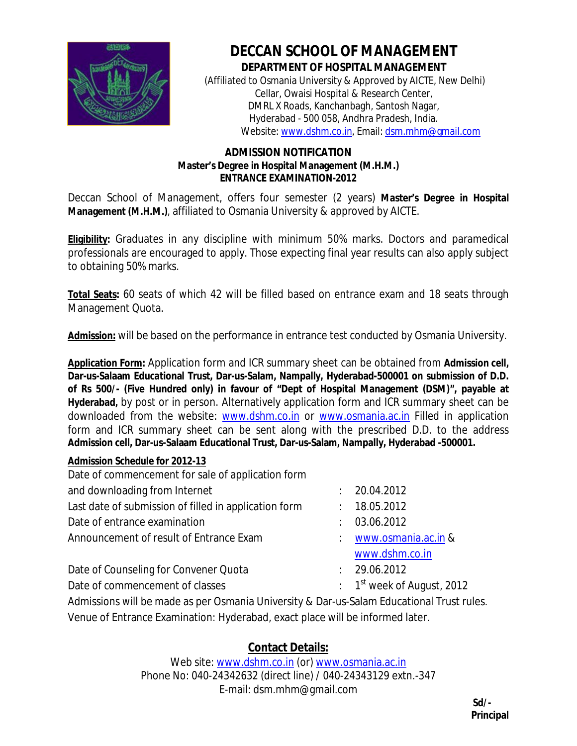

## **DECCAN SCHOOL OF MANAGEMENT**

**DEPARTMENT OF HOSPITAL MANAGEMENT** (Affiliated to Osmania University & Approved by AICTE, New Delhi) Cellar, Owaisi Hospital & Research Center, DMRL X Roads, Kanchanbagh, Santosh Nagar, Hyderabad - 500 058, Andhra Pradesh, India. Website: www.dshm.co.in, Email: dsm.mhm@gmail.com

## **ADMISSION NOTIFICATION Master's Degree in Hospital Management (M.H.M.) ENTRANCE EXAMINATION-2012**

Deccan School of Management, offers four semester (2 years) **Master's Degree in Hospital Management (M.H.M.)**, affiliated to Osmania University & approved by AICTE.

**Eligibility:** Graduates in any discipline with minimum 50% marks. Doctors and paramedical professionals are encouraged to apply. Those expecting final year results can also apply subject to obtaining 50% marks.

**Total Seats:** 60 seats of which 42 will be filled based on entrance exam and 18 seats through Management Quota.

**Admission:** will be based on the performance in entrance test conducted by Osmania University.

**Application Form:** Application form and ICR summary sheet can be obtained from **Admission cell, Dar-us-Salaam Educational Trust, Dar-us-Salam, Nampally, Hyderabad-500001 on submission of D.D. of Rs 500/- (Five Hundred only) in favour of "Dept of Hospital Management (DSM)", payable at Hyderabad,** by post or in person. Alternatively application form and ICR summary sheet can be downloaded from the website: www.dshm.co.in or www.osmania.ac.in Filled in application form and ICR summary sheet can be sent along with the prescribed D.D. to the address **Admission cell, Dar-us-Salaam Educational Trust, Dar-us-Salam, Nampally, Hyderabad -500001.**

## **Admission Schedule for 2012-13**

| Date of commencement for sale of application form     |                                                   |
|-------------------------------------------------------|---------------------------------------------------|
| and downloading from Internet                         | : 20.04.2012                                      |
| Last date of submission of filled in application form | : 18.05.2012                                      |
| Date of entrance examination                          | 03.06.2012                                        |
| Announcement of result of Entrance Exam               | : www.osmania.ac.in &                             |
|                                                       | www.dshm.co.in                                    |
| Date of Counseling for Convener Quota                 | : 29.06.2012                                      |
| Date of commencement of classes                       | $\therefore$ 1 <sup>st</sup> week of August, 2012 |
|                                                       |                                                   |

Admissions will be made as per Osmania University & Dar-us-Salam Educational Trust rules. Venue of Entrance Examination: Hyderabad, exact place will be informed later.

**Contact Details:**

Web site: www.dshm.co.in (or) www.osmania.ac.in Phone No: 040-24342632 (direct line) / 040-24343129 extn.-347 E-mail: dsm.mhm@gmail.com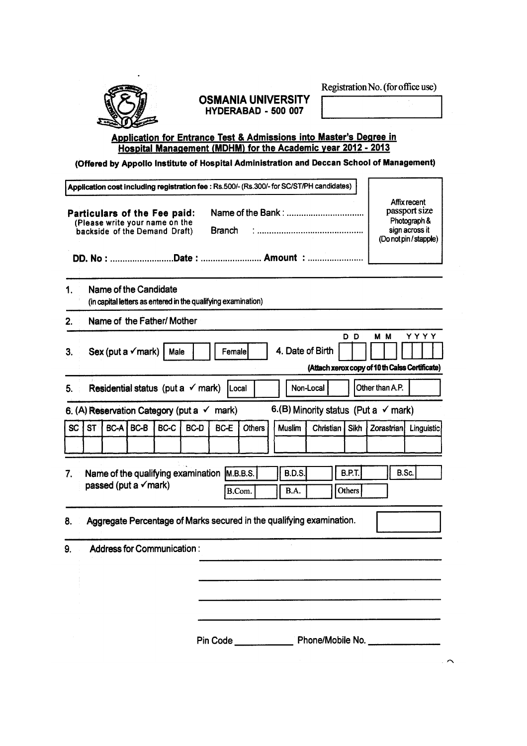Registration No. (for office use)



## **OSMANIA UNIVERSITY** HYDERABAD - 500 007

# Application for Entrance Test & Admissions into Master's Degree in<br>Hospital Management (MDHM) for the Academic year 2012 - 2013

(Offered by Appollo Institute of Hospital Administration and Deccan School of Management)

|                                                                                                                                            |    |  |                               |      |                                              |                                                               | Application cost including registration fee : Rs.500/- (Rs.300/- for SC/ST/PH candidates) |               |                              |                  |                         |                                                 |                                                           |
|--------------------------------------------------------------------------------------------------------------------------------------------|----|--|-------------------------------|------|----------------------------------------------|---------------------------------------------------------------|-------------------------------------------------------------------------------------------|---------------|------------------------------|------------------|-------------------------|-------------------------------------------------|-----------------------------------------------------------|
| Particulars of the Fee paid:<br>(Please write your name on the<br><b>Branch</b><br>backside of the Demand Draft)<br>DD. No: Date:  Amount: |    |  |                               |      |                                              |                                                               | Affix recent<br>passport size<br>Photograph &<br>sign across it<br>(Do not pin / stapple) |               |                              |                  |                         |                                                 |                                                           |
| 1.                                                                                                                                         |    |  | Name of the Candidate         |      |                                              | (in capital letters as entered in the qualifying examination) |                                                                                           |               |                              |                  |                         |                                                 |                                                           |
| 2.                                                                                                                                         |    |  | Name of the Father/ Mother    |      |                                              |                                                               |                                                                                           |               |                              |                  |                         |                                                 |                                                           |
| 3.                                                                                                                                         |    |  | Sex (put a $\checkmark$ mark) | Male |                                              | Female                                                        |                                                                                           |               |                              | 4. Date of Birth | D D                     | M M                                             | Y Y Y Y<br>(Attach xerox copy of 10 th Calss Certificate) |
| 5.                                                                                                                                         |    |  |                               |      | Residential status (put a $\checkmark$ mark) | <b>ILocal</b>                                                 |                                                                                           |               | Non-Local                    |                  |                         | Other than A.P.                                 |                                                           |
|                                                                                                                                            |    |  |                               |      |                                              | 6. (A) Reservation Category (put a $\checkmark$ mark)         |                                                                                           |               |                              |                  |                         | 6.(B) Minority status (Put a $\checkmark$ mark) |                                                           |
| SC                                                                                                                                         | ST |  | BC-A BC-B                     | BC-C | BC-D                                         | BC-E                                                          | <b>Others</b>                                                                             | <b>Muslim</b> |                              | Christian I      | Sikh                    | <b>Zorastrian</b>                               | Linguistic                                                |
| 7.                                                                                                                                         |    |  | passed (put a √mark)          |      |                                              | Name of the qualifying examination M.B.B.S.                   | B.Com.                                                                                    |               | <b>B.D.S.</b><br><b>B.A.</b> |                  | <b>B.P.T.</b><br>Others |                                                 | B.Sc.                                                     |
| 8.                                                                                                                                         |    |  |                               |      |                                              |                                                               | Aggregate Percentage of Marks secured in the qualifying examination.                      |               |                              |                  |                         |                                                 |                                                           |
| 9.                                                                                                                                         |    |  | Address for Communication:    |      |                                              |                                                               |                                                                                           |               |                              |                  |                         |                                                 |                                                           |
|                                                                                                                                            |    |  |                               |      |                                              |                                                               |                                                                                           |               |                              |                  |                         |                                                 | Pin Code Phone/Mobile No.                                 |

 $\sim$   $\sim$